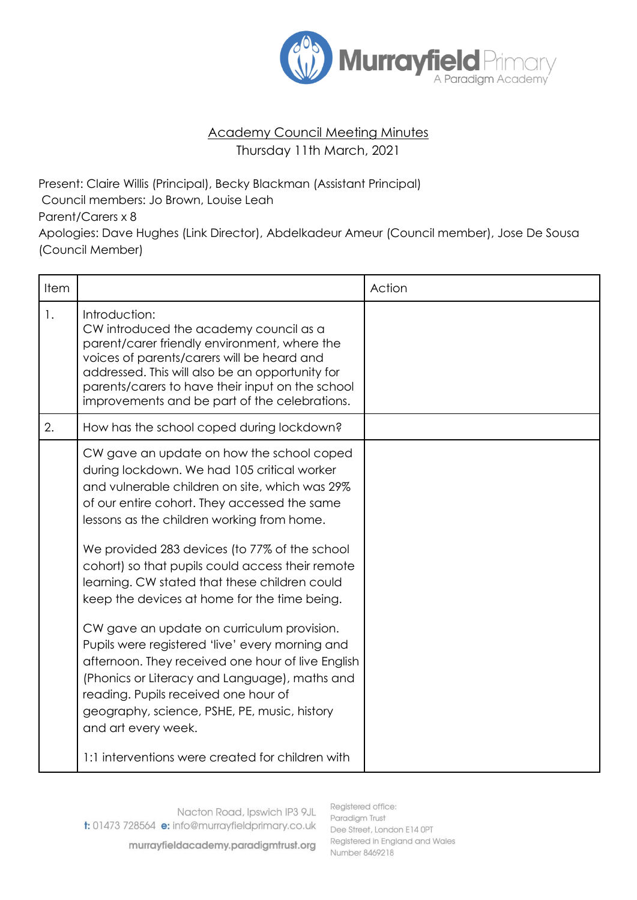

## Academy Council Meeting Minutes Thursday 11th March, 2021

Present: Claire Willis (Principal), Becky Blackman (Assistant Principal) Council members: Jo Brown, Louise Leah Parent/Carers x 8 Apologies: Dave Hughes (Link Director), Abdelkadeur Ameur (Council member), Jose De Sousa (Council Member)

|                                                                                                                                                                                                                                                                                                                                                                                                                                                                                                                                                                                                                                                                                                                                                                      | Action |
|----------------------------------------------------------------------------------------------------------------------------------------------------------------------------------------------------------------------------------------------------------------------------------------------------------------------------------------------------------------------------------------------------------------------------------------------------------------------------------------------------------------------------------------------------------------------------------------------------------------------------------------------------------------------------------------------------------------------------------------------------------------------|--------|
| Introduction:<br>CW introduced the academy council as a<br>parent/carer friendly environment, where the<br>voices of parents/carers will be heard and<br>addressed. This will also be an opportunity for<br>parents/carers to have their input on the school<br>improvements and be part of the celebrations.                                                                                                                                                                                                                                                                                                                                                                                                                                                        |        |
| How has the school coped during lockdown?                                                                                                                                                                                                                                                                                                                                                                                                                                                                                                                                                                                                                                                                                                                            |        |
| CW gave an update on how the school coped<br>during lockdown. We had 105 critical worker<br>and vulnerable children on site, which was 29%<br>of our entire cohort. They accessed the same<br>lessons as the children working from home.<br>We provided 283 devices (to 77% of the school<br>cohort) so that pupils could access their remote<br>learning. CW stated that these children could<br>keep the devices at home for the time being.<br>CW gave an update on curriculum provision.<br>Pupils were registered 'live' every morning and<br>afternoon. They received one hour of live English<br>(Phonics or Literacy and Language), maths and<br>reading. Pupils received one hour of<br>geography, science, PSHE, PE, music, history<br>and art every week. |        |
| 1:1 interventions were created for children with                                                                                                                                                                                                                                                                                                                                                                                                                                                                                                                                                                                                                                                                                                                     |        |
|                                                                                                                                                                                                                                                                                                                                                                                                                                                                                                                                                                                                                                                                                                                                                                      |        |

murrayfieldacademy.paradigmtrust.org

Registered office: Paradigm Trust Dee Street, London E14 OPT Registered in England and Wales Number 8469218